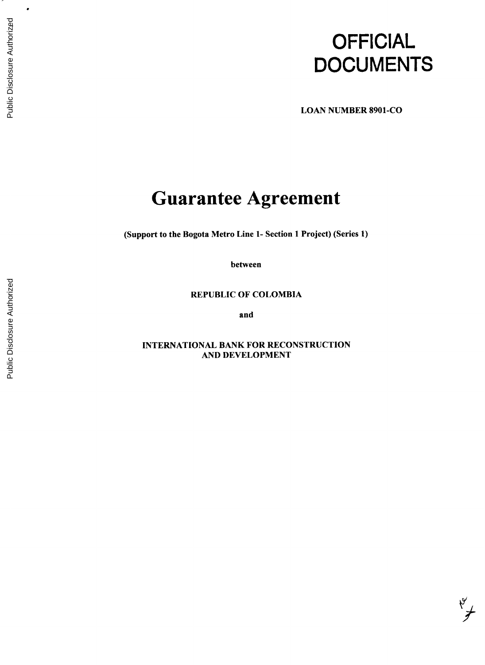# **OFFICIAL DOCUMENTS**

 $\sqrt{\frac{2}{3}}$ 

**LOAN NUMBER 8901-CO**

## **Guarantee Agreement**

(Support to the Bogota Metro Line **1-** Section 1 Project) (Series **1)**

between

REPUBLIC OF COLOMBIA

and

**INTERNATIONAL** BANK FOR **RECONSTRUCTION AND DEVELOPMENT**

 $\bullet$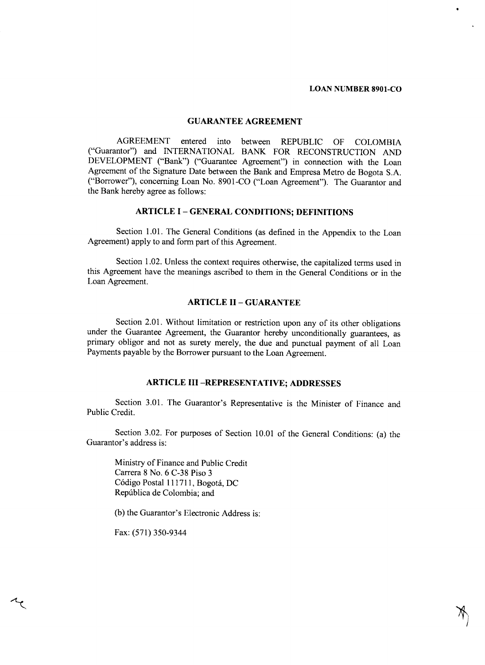#### **GUARANTEE AGREEMENT**

**AGREEMENT** entered into between REPUBLIC OF COLOMBIA ("Guarantor") and **INTERNATIONAL** BANK FOR RECONSTRUCTION **AND DEVELOPMENT** ("Bank") ("Guarantee Agreement") in connection with the Loan Agreement of the Signature Date between the Bank and Empresa Metro de Bogota **S.A.** ("Borrower"), concerning Loan No. **8901-CO** ("Loan Agreement"). The Guarantor and the Bank hereby agree as follows:

#### **ARTICLE I - GENERAL CONDITIONS; DEFINITIONS**

Section **1.01.** The General Conditions (as defined in the Appendix to the Loan Agreement) apply to and form part of this Agreement.

Section 1.02. Unless the context requires otherwise, the capitalized terms used in this Agreement have the meanings ascribed to them in the General Conditions or in the Loan Agreement.

#### **ARTICLE II - GUARANTEE**

Section 2.01. Without limitation or restriction upon any of its other obligations under the Guarantee Agreement, the Guarantor hereby unconditionally guarantees, as primary obligor and not as surety merely, the due and punctual payment of all Loan Payments payable **by** the Borrower pursuant to the Loan Agreement.

### **ARTICLE III -REPRESENTATIVE; ADDRESSES**

Section **3.01.** The Guarantor's Representative is the Minister of Finance and Public Credit.

Section **3.02.** For purposes of Section **10.01** of the General Conditions: (a) the Guarantor's address is:

Ministry of Finance and Public Credit Carrera **8** No. **6 C-38** Piso **3** C6digo Postal **111711,** Bogota, **DC** Repdblica de Colombia; and

**(b)** the Guarantor's Electronic Address is:

Fax: *(571) 350-9344*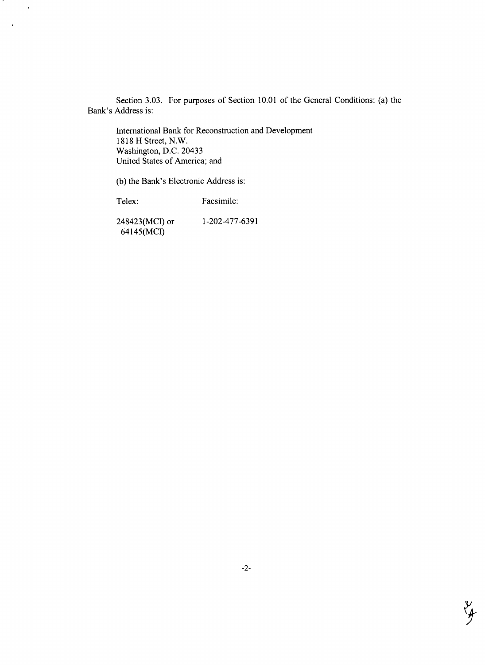Section **3.03.** For purposes of Section **10.01** of the General Conditions: (a) the Bank's Address is:

International Bank for Reconstruction and Development **1818** H Street, N.W. Washington, **D.C.** 20433 United States of America; and

**(b)** the Bank's Electronic Address is:

Telex: Facsimile:

 $\ddot{\phantom{a}}$ 

248423(MCI) or **1-202-477-6391** 64145(MCI)

 $\mathcal{Y}_{\mathbf{r}}$